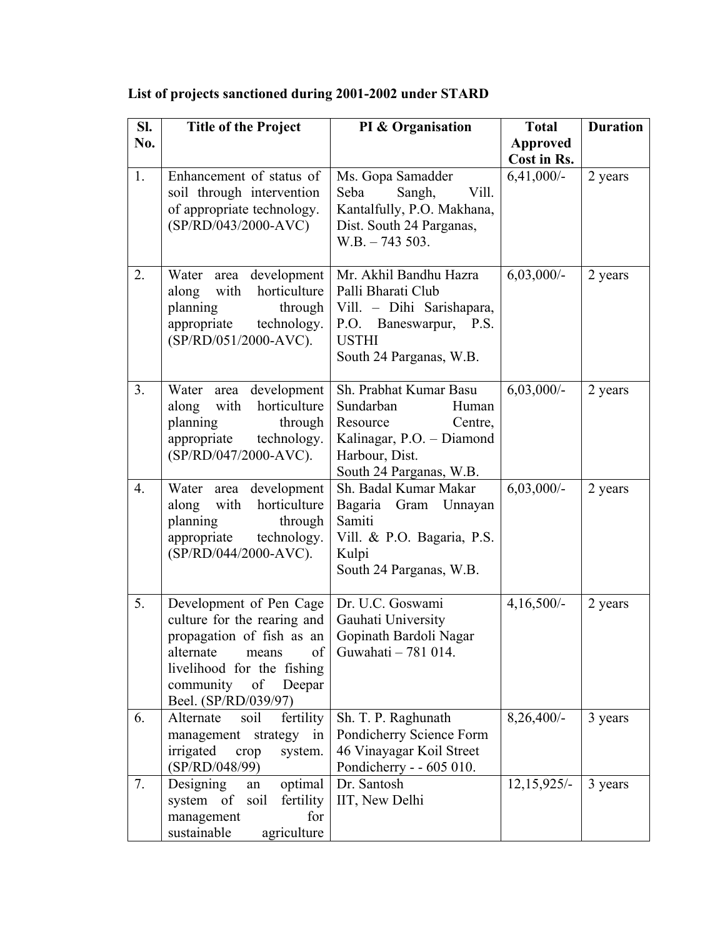| SI. | <b>Title of the Project</b>                                                                                                                                                                        | PI & Organisation                                                                                                                              | <b>Total</b>    | <b>Duration</b> |
|-----|----------------------------------------------------------------------------------------------------------------------------------------------------------------------------------------------------|------------------------------------------------------------------------------------------------------------------------------------------------|-----------------|-----------------|
| No. |                                                                                                                                                                                                    |                                                                                                                                                | <b>Approved</b> |                 |
|     |                                                                                                                                                                                                    |                                                                                                                                                | Cost in Rs.     |                 |
| 1.  | Enhancement of status of<br>soil through intervention<br>of appropriate technology.<br>(SP/RD/043/2000-AVC)                                                                                        | Ms. Gopa Samadder<br>Seba<br>Sangh,<br>Vill.<br>Kantalfully, P.O. Makhana,<br>Dist. South 24 Parganas,<br>$W.B. - 743503.$                     | $6,41,000/-$    | 2 years         |
| 2.  | area development<br>Water<br>horticulture<br>with<br>along<br>planning<br>through<br>appropriate<br>technology.<br>(SP/RD/051/2000-AVC).                                                           | Mr. Akhil Bandhu Hazra<br>Palli Bharati Club<br>Vill. - Dihi Sarishapara,<br>P.O. Baneswarpur, P.S.<br><b>USTHI</b><br>South 24 Parganas, W.B. | $6,03,000/-$    | 2 years         |
| 3.  | Water area development<br>horticulture<br>along<br>with<br>planning<br>through<br>technology.<br>appropriate<br>(SP/RD/047/2000-AVC).                                                              | Sh. Prabhat Kumar Basu<br>Sundarban<br>Human<br>Resource<br>Centre,<br>Kalinagar, P.O. - Diamond<br>Harbour, Dist.<br>South 24 Parganas, W.B.  | $6,03,000/-$    | 2 years         |
| 4.  | development<br>Water area<br>horticulture<br>along<br>with<br>planning<br>through<br>appropriate<br>technology.<br>(SP/RD/044/2000-AVC).                                                           | Sh. Badal Kumar Makar<br>Bagaria Gram Unnayan<br>Samiti<br>Vill. & P.O. Bagaria, P.S.<br>Kulpi<br>South 24 Parganas, W.B.                      | $6,03,000/-$    | 2 years         |
| 5.  | Development of Pen Cage<br>culture for the rearing and<br>propagation of fish as an<br>alternate<br>means<br>of<br>livelihood for the fishing<br>community<br>of<br>Deepar<br>Beel. (SP/RD/039/97) | Dr. U.C. Goswami<br>Gauhati University<br>Gopinath Bardoli Nagar<br>Guwahati – 781 014.                                                        | $4,16,500/-$    | 2 years         |
| 6.  | fertility<br>Alternate<br>soil<br>management<br>strategy<br>in<br>irrigated<br>crop<br>system.<br>(SP/RD/048/99)                                                                                   | Sh. T. P. Raghunath<br>Pondicherry Science Form<br>46 Vinayagar Koil Street<br>Pondicherry - - 605 010.                                        | $8,26,400/-$    | 3 years         |
| 7.  | optimal<br>Designing<br>an<br>system of<br>soil<br>fertility<br>for<br>management<br>sustainable<br>agriculture                                                                                    | Dr. Santosh<br>IIT, New Delhi                                                                                                                  | $12,15,925/-$   | 3 years         |

## **List of projects sanctioned during 2001-2002 under STARD**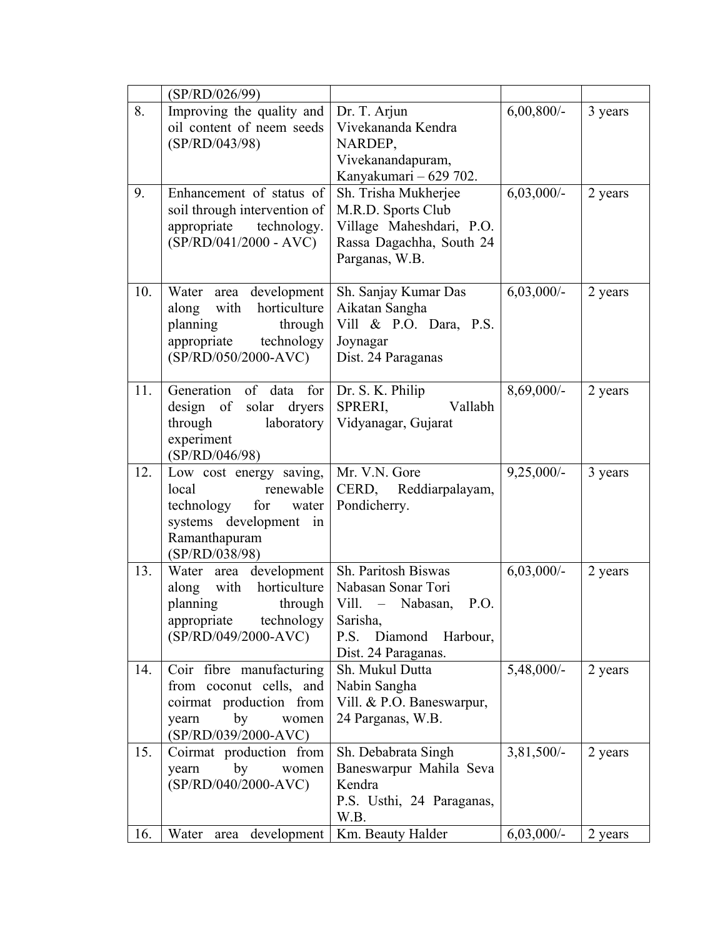|     | (SP/RD/026/99)                                                                                                                        |                                                                                                                                         |              |         |
|-----|---------------------------------------------------------------------------------------------------------------------------------------|-----------------------------------------------------------------------------------------------------------------------------------------|--------------|---------|
| 8.  | Improving the quality and<br>oil content of neem seeds<br>(SP/RD/043/98)                                                              | Dr. T. Arjun<br>Vivekananda Kendra<br>NARDEP,<br>Vivekanandapuram,<br>Kanyakumari - 629 702.                                            | $6,00,800/-$ | 3 years |
| 9.  | Enhancement of status of<br>soil through intervention of<br>appropriate<br>technology.<br>$(SP/RD/041/2000 - AVC)$                    | Sh. Trisha Mukherjee<br>M.R.D. Sports Club<br>Village Maheshdari, P.O.<br>Rassa Dagachha, South 24<br>Parganas, W.B.                    | $6,03,000/-$ | 2 years |
| 10. | Water area development<br>along with<br>horticulture<br>planning<br>through<br>appropriate technology<br>$(SP/RD/050/2000-AVC)$       | Sh. Sanjay Kumar Das<br>Aikatan Sangha<br>Vill & P.O. Dara, P.S.<br>Joynagar<br>Dist. 24 Paraganas                                      | $6,03,000/-$ | 2 years |
| 11. | Generation of data for<br>design of solar dryers<br>laboratory<br>through<br>experiment<br>(SP/RD/046/98)                             | Dr. S. K. Philip<br>SPRERI,<br>Vallabh<br>Vidyanagar, Gujarat                                                                           | 8,69,000/-   | 2 years |
| 12. | Low cost energy saving,<br>renewable<br>local<br>technology for<br>water<br>systems development in<br>Ramanthapuram<br>(SP/RD/038/98) | Mr. V.N. Gore<br>CERD, Reddiarpalayam,<br>Pondicherry.                                                                                  | $9,25,000/-$ | 3 years |
| 13. | Water area development<br>with horticulture<br>along<br>planning<br>through<br>appropriate<br>technology<br>$(SP/RD/049/2000-AVC)$    | Sh. Paritosh Biswas<br>Nabasan Sonar Tori<br>Vill. - Nabasan,<br>P.O.<br>Sarisha,<br>P.S.<br>Diamond<br>Harbour,<br>Dist. 24 Paraganas. | $6,03,000/-$ | 2 years |
| 14. | Coir fibre manufacturing<br>from coconut cells, and<br>coirmat production from<br>by<br>yearn<br>women<br>$(SP/RD/039/2000-AVC)$      | Sh. Mukul Dutta<br>Nabin Sangha<br>Vill. & P.O. Baneswarpur,<br>24 Parganas, W.B.                                                       | 5,48,000/-   | 2 years |
| 15. | Coirmat production from<br>by<br>yearn<br>women<br>(SP/RD/040/2000-AVC)                                                               | Sh. Debabrata Singh<br>Baneswarpur Mahila Seva<br>Kendra<br>P.S. Usthi, 24 Paraganas,<br>W.B.                                           | $3,81,500/-$ | 2 years |
| 16. | Water<br>area development                                                                                                             | Km. Beauty Halder                                                                                                                       | $6,03,000/-$ | 2 years |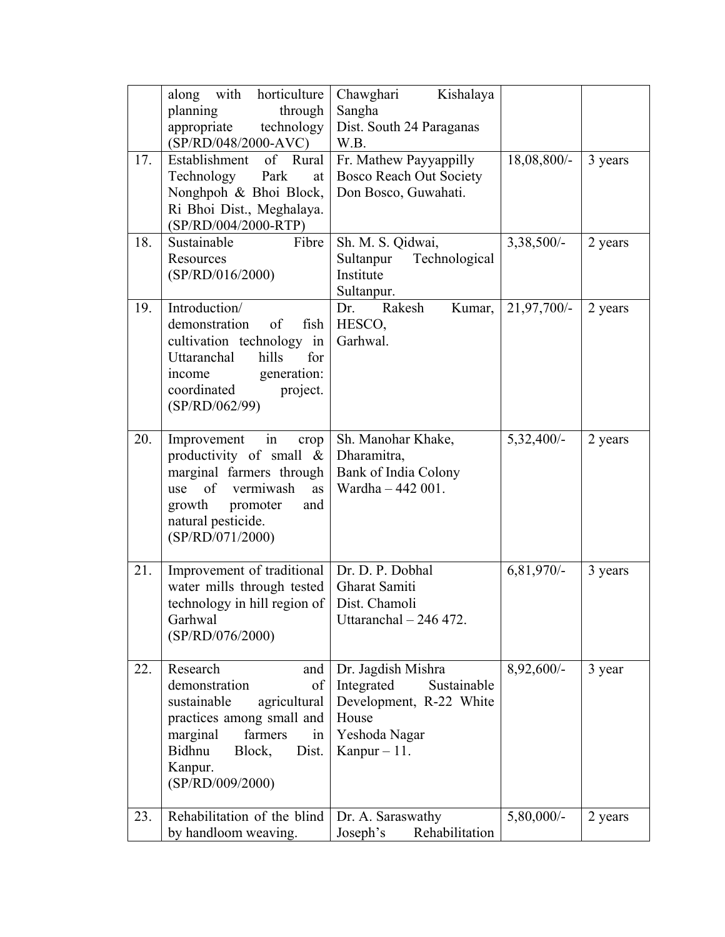|     | horticulture<br>with<br>along<br>planning<br>through<br>appropriate<br>technology<br>$(SP/RD/048/2000-AVC)$                                                                                 | Chawghari<br>Kishalaya<br>Sangha<br>Dist. South 24 Paraganas<br>W.B.                                                   |               |         |
|-----|---------------------------------------------------------------------------------------------------------------------------------------------------------------------------------------------|------------------------------------------------------------------------------------------------------------------------|---------------|---------|
| 17. | Establishment<br>of Rural<br>Technology<br>Park<br>at<br>Nonghpoh & Bhoi Block,<br>Ri Bhoi Dist., Meghalaya.<br>(SP/RD/004/2000-RTP)                                                        | Fr. Mathew Payyappilly<br><b>Bosco Reach Out Society</b><br>Don Bosco, Guwahati.                                       | $18,08,800/-$ | 3 years |
| 18. | Sustainable<br>Fibre<br>Resources<br>(SP/RD/016/2000)                                                                                                                                       | Sh. M. S. Qidwai,<br>Sultanpur<br>Technological<br>Institute<br>Sultanpur.                                             | $3,38,500/-$  | 2 years |
| 19. | Introduction/<br>demonstration<br>of<br>fish<br>cultivation technology in<br>hills<br>Uttaranchal<br>for<br>generation:<br>income<br>coordinated<br>project.<br>(SP/RD/062/99)              | Rakesh<br>Dr.<br>Kumar,<br>HESCO,<br>Garhwal.                                                                          | $21,97,700/-$ | 2 years |
| 20. | Improvement<br>in<br>crop<br>productivity of small $\&$<br>marginal farmers through<br>of vermiwash<br>use<br>as<br>growth<br>promoter<br>and<br>natural pesticide.<br>(SP/RD/071/2000)     | Sh. Manohar Khake,<br>Dharamitra,<br>Bank of India Colony<br>Wardha - 442 001.                                         | $5,32,400/-$  | 2 years |
| 21. | Improvement of traditional<br>water mills through tested<br>technology in hill region of<br>Garhwal<br>(SP/RD/076/2000)                                                                     | Dr. D. P. Dobhal<br>Gharat Samiti<br>Dist. Chamoli<br>Uttaranchal $-246$ 472.                                          | 6,81,970/-    | 3 years |
| 22. | Research<br>and<br>demonstration<br>of<br>sustainable<br>agricultural<br>practices among small and<br>farmers<br>marginal<br>in<br>Bidhnu<br>Dist.<br>Block,<br>Kanpur.<br>(SP/RD/009/2000) | Dr. Jagdish Mishra<br>Integrated<br>Sustainable<br>Development, R-22 White<br>House<br>Yeshoda Nagar<br>Kanpur $-11$ . | 8,92,600/-    | 3 year  |
| 23. | Rehabilitation of the blind<br>by handloom weaving.                                                                                                                                         | Dr. A. Saraswathy<br>Rehabilitation<br>Joseph's                                                                        | $5,80,000/-$  | 2 years |